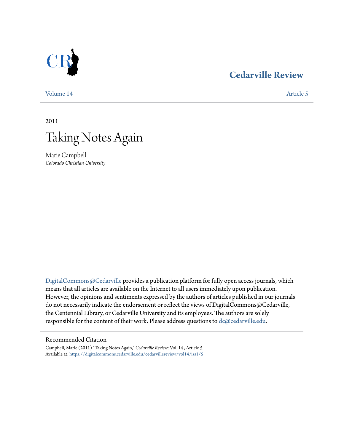## [Volume 14](https://digitalcommons.cedarville.edu/cedarvillereview/vol14?utm_source=digitalcommons.cedarville.edu%2Fcedarvillereview%2Fvol14%2Fiss1%2F5&utm_medium=PDF&utm_campaign=PDFCoverPages) [Article 5](https://digitalcommons.cedarville.edu/cedarvillereview/vol14/iss1/5?utm_source=digitalcommons.cedarville.edu%2Fcedarvillereview%2Fvol14%2Fiss1%2F5&utm_medium=PDF&utm_campaign=PDFCoverPages)

# **[Cedarville Review](https://digitalcommons.cedarville.edu/cedarvillereview?utm_source=digitalcommons.cedarville.edu%2Fcedarvillereview%2Fvol14%2Fiss1%2F5&utm_medium=PDF&utm_campaign=PDFCoverPages)**

2011



Marie Campbell *Colorado Christian University*

[DigitalCommons@Cedarville](http://digitalcommons.cedarville.edu) provides a publication platform for fully open access journals, which means that all articles are available on the Internet to all users immediately upon publication. However, the opinions and sentiments expressed by the authors of articles published in our journals do not necessarily indicate the endorsement or reflect the views of DigitalCommons@Cedarville, the Centennial Library, or Cedarville University and its employees. The authors are solely responsible for the content of their work. Please address questions to [dc@cedarville.edu](mailto:dc@cedarville.edu).

#### Recommended Citation

Campbell, Marie (2011) "Taking Notes Again," *Cedarville Review*: Vol. 14 , Article 5. Available at: [https://digitalcommons.cedarville.edu/cedarvillereview/vol14/iss1/5](https://digitalcommons.cedarville.edu/cedarvillereview/vol14/iss1/5?utm_source=digitalcommons.cedarville.edu%2Fcedarvillereview%2Fvol14%2Fiss1%2F5&utm_medium=PDF&utm_campaign=PDFCoverPages)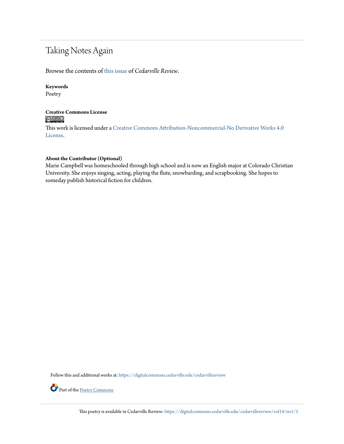# Taking Notes Again

Browse the contents of [this issue](https://digitalcommons.cedarville.edu/cedarvillereview/vol14/iss1) of *Cedarville Review*.

#### **Keywords**

Poetry

#### **Creative Commons License**  $\bigcirc$   $\circ$

This work is licensed under a [Creative Commons Attribution-Noncommercial-No Derivative Works 4.0](http://creativecommons.org/licenses/by-nc-nd/4.0/) [License.](http://creativecommons.org/licenses/by-nc-nd/4.0/)

### **About the Contributor (Optional)**

Marie Campbell was homeschooled through high school and is now an English major at Colorado Christian University. She enjoys singing, acting, playing the flute, snowbarding, and scrapbooking. She hopes to someday publish historical fiction for children.

Follow this and additional works at: [https://digitalcommons.cedarville.edu/cedarvillereview](https://digitalcommons.cedarville.edu/cedarvillereview?utm_source=digitalcommons.cedarville.edu%2Fcedarvillereview%2Fvol14%2Fiss1%2F5&utm_medium=PDF&utm_campaign=PDFCoverPages)



Part of the [Poetry Commons](http://network.bepress.com/hgg/discipline/1153?utm_source=digitalcommons.cedarville.edu%2Fcedarvillereview%2Fvol14%2Fiss1%2F5&utm_medium=PDF&utm_campaign=PDFCoverPages)